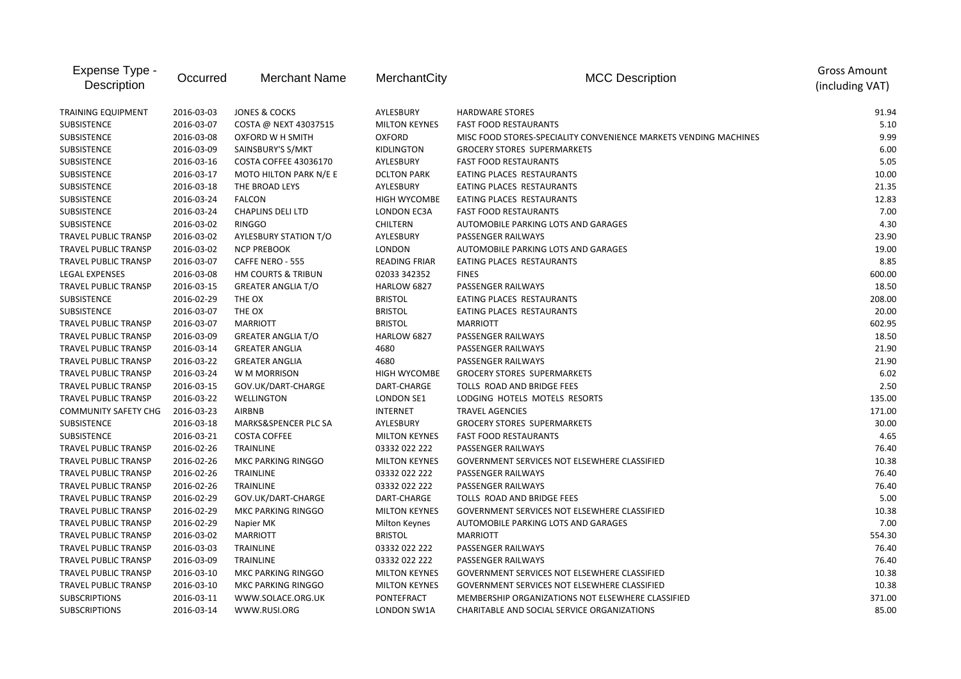| Expense Type -<br>Description | Occurred   | <b>Merchant Name</b>         | MerchantCity         | <b>MCC Description</b>                                           | <b>Gross Amount</b><br>(including VAT) |
|-------------------------------|------------|------------------------------|----------------------|------------------------------------------------------------------|----------------------------------------|
| <b>TRAINING EQUIPMENT</b>     | 2016-03-03 | JONES & COCKS                | AYLESBURY            | <b>HARDWARE STORES</b>                                           | 91.94                                  |
| SUBSISTENCE                   | 2016-03-07 | COSTA @ NEXT 43037515        | <b>MILTON KEYNES</b> | <b>FAST FOOD RESTAURANTS</b>                                     | 5.10                                   |
| <b>SUBSISTENCE</b>            | 2016-03-08 | OXFORD W H SMITH             | <b>OXFORD</b>        | MISC FOOD STORES-SPECIALITY CONVENIENCE MARKETS VENDING MACHINES | 9.99                                   |
| SUBSISTENCE                   | 2016-03-09 | SAINSBURY'S S/MKT            | <b>KIDLINGTON</b>    | <b>GROCERY STORES SUPERMARKETS</b>                               | 6.00                                   |
| <b>SUBSISTENCE</b>            | 2016-03-16 | COSTA COFFEE 43036170        | AYLESBURY            | <b>FAST FOOD RESTAURANTS</b>                                     | 5.05                                   |
| SUBSISTENCE                   | 2016-03-17 | MOTO HILTON PARK N/E E       | <b>DCLTON PARK</b>   | EATING PLACES RESTAURANTS                                        | 10.00                                  |
| SUBSISTENCE                   | 2016-03-18 | THE BROAD LEYS               | AYLESBURY            | EATING PLACES RESTAURANTS                                        | 21.35                                  |
| SUBSISTENCE                   | 2016-03-24 | <b>FALCON</b>                | <b>HIGH WYCOMBE</b>  | EATING PLACES RESTAURANTS                                        | 12.83                                  |
| SUBSISTENCE                   | 2016-03-24 | <b>CHAPLINS DELI LTD</b>     | LONDON EC3A          | <b>FAST FOOD RESTAURANTS</b>                                     | 7.00                                   |
| SUBSISTENCE                   | 2016-03-02 | <b>RINGGO</b>                | <b>CHILTERN</b>      | AUTOMOBILE PARKING LOTS AND GARAGES                              | 4.30                                   |
| TRAVEL PUBLIC TRANSP          | 2016-03-02 | <b>AYLESBURY STATION T/O</b> | AYLESBURY            | PASSENGER RAILWAYS                                               | 23.90                                  |
| TRAVEL PUBLIC TRANSP          | 2016-03-02 | <b>NCP PREBOOK</b>           | <b>LONDON</b>        | AUTOMOBILE PARKING LOTS AND GARAGES                              | 19.00                                  |
| <b>TRAVEL PUBLIC TRANSP</b>   | 2016-03-07 | CAFFE NERO - 555             | <b>READING FRIAR</b> | EATING PLACES RESTAURANTS                                        | 8.85                                   |
| LEGAL EXPENSES                | 2016-03-08 | HM COURTS & TRIBUN           | 02033 342352         | <b>FINES</b>                                                     | 600.00                                 |
| <b>TRAVEL PUBLIC TRANSP</b>   | 2016-03-15 | <b>GREATER ANGLIA T/O</b>    | HARLOW 6827          | PASSENGER RAILWAYS                                               | 18.50                                  |
| <b>SUBSISTENCE</b>            | 2016-02-29 | THE OX                       | <b>BRISTOL</b>       | EATING PLACES RESTAURANTS                                        | 208.00                                 |
| SUBSISTENCE                   | 2016-03-07 | THE OX                       | <b>BRISTOL</b>       | EATING PLACES RESTAURANTS                                        | 20.00                                  |
| <b>TRAVEL PUBLIC TRANSP</b>   | 2016-03-07 | <b>MARRIOTT</b>              | <b>BRISTOL</b>       | <b>MARRIOTT</b>                                                  | 602.95                                 |
| TRAVEL PUBLIC TRANSP          | 2016-03-09 | <b>GREATER ANGLIA T/O</b>    | HARLOW 6827          | PASSENGER RAILWAYS                                               | 18.50                                  |
| TRAVEL PUBLIC TRANSP          | 2016-03-14 | <b>GREATER ANGLIA</b>        | 4680                 | PASSENGER RAILWAYS                                               | 21.90                                  |
| TRAVEL PUBLIC TRANSP          | 2016-03-22 | <b>GREATER ANGLIA</b>        | 4680                 | PASSENGER RAILWAYS                                               | 21.90                                  |
| TRAVEL PUBLIC TRANSP          | 2016-03-24 | W M MORRISON                 | <b>HIGH WYCOMBE</b>  | <b>GROCERY STORES SUPERMARKETS</b>                               | 6.02                                   |
| TRAVEL PUBLIC TRANSP          | 2016-03-15 | GOV.UK/DART-CHARGE           | DART-CHARGE          | TOLLS ROAD AND BRIDGE FEES                                       | 2.50                                   |
| <b>TRAVEL PUBLIC TRANSP</b>   | 2016-03-22 | WELLINGTON                   | <b>LONDON SE1</b>    | LODGING HOTELS MOTELS RESORTS                                    | 135.00                                 |
| <b>COMMUNITY SAFETY CHG</b>   | 2016-03-23 | <b>AIRBNB</b>                | <b>INTERNET</b>      | <b>TRAVEL AGENCIES</b>                                           | 171.00                                 |
| SUBSISTENCE                   | 2016-03-18 | MARKS&SPENCER PLC SA         | AYLESBURY            | <b>GROCERY STORES SUPERMARKETS</b>                               | 30.00                                  |
| SUBSISTENCE                   | 2016-03-21 | <b>COSTA COFFEE</b>          | <b>MILTON KEYNES</b> | <b>FAST FOOD RESTAURANTS</b>                                     | 4.65                                   |
| TRAVEL PUBLIC TRANSP          | 2016-02-26 | <b>TRAINLINE</b>             | 03332 022 222        | PASSENGER RAILWAYS                                               | 76.40                                  |
| <b>TRAVEL PUBLIC TRANSP</b>   | 2016-02-26 | <b>MKC PARKING RINGGO</b>    | <b>MILTON KEYNES</b> | <b>GOVERNMENT SERVICES NOT ELSEWHERE CLASSIFIED</b>              | 10.38                                  |
| <b>TRAVEL PUBLIC TRANSP</b>   | 2016-02-26 | <b>TRAINLINE</b>             | 03332 022 222        | PASSENGER RAILWAYS                                               | 76.40                                  |
| <b>TRAVEL PUBLIC TRANSP</b>   | 2016-02-26 | <b>TRAINLINE</b>             | 03332 022 222        | PASSENGER RAILWAYS                                               | 76.40                                  |
| <b>TRAVEL PUBLIC TRANSP</b>   | 2016-02-29 | GOV.UK/DART-CHARGE           | DART-CHARGE          | TOLLS ROAD AND BRIDGE FEES                                       | 5.00                                   |
| TRAVEL PUBLIC TRANSP          | 2016-02-29 | MKC PARKING RINGGO           | <b>MILTON KEYNES</b> | GOVERNMENT SERVICES NOT ELSEWHERE CLASSIFIED                     | 10.38                                  |
| TRAVEL PUBLIC TRANSP          | 2016-02-29 | Napier MK                    | Milton Keynes        | AUTOMOBILE PARKING LOTS AND GARAGES                              | 7.00                                   |
| TRAVEL PUBLIC TRANSP          | 2016-03-02 | <b>MARRIOTT</b>              | <b>BRISTOL</b>       | <b>MARRIOTT</b>                                                  | 554.30                                 |
| <b>TRAVEL PUBLIC TRANSP</b>   | 2016-03-03 | <b>TRAINLINE</b>             | 03332 022 222        | PASSENGER RAILWAYS                                               | 76.40                                  |
| TRAVEL PUBLIC TRANSP          | 2016-03-09 | TRAINLINE                    | 03332 022 222        | PASSENGER RAILWAYS                                               | 76.40                                  |
| TRAVEL PUBLIC TRANSP          | 2016-03-10 | MKC PARKING RINGGO           | <b>MILTON KEYNES</b> | <b>GOVERNMENT SERVICES NOT ELSEWHERE CLASSIFIED</b>              | 10.38                                  |
| TRAVEL PUBLIC TRANSP          | 2016-03-10 | MKC PARKING RINGGO           | <b>MILTON KEYNES</b> | GOVERNMENT SERVICES NOT ELSEWHERE CLASSIFIED                     | 10.38                                  |
| <b>SUBSCRIPTIONS</b>          | 2016-03-11 | WWW.SOLACE.ORG.UK            | PONTEFRACT           | MEMBERSHIP ORGANIZATIONS NOT ELSEWHERE CLASSIFIED                | 371.00                                 |
| <b>SUBSCRIPTIONS</b>          | 2016-03-14 | WWW.RUSI.ORG                 | LONDON SW1A          | CHARITABLE AND SOCIAL SERVICE ORGANIZATIONS                      | 85.00                                  |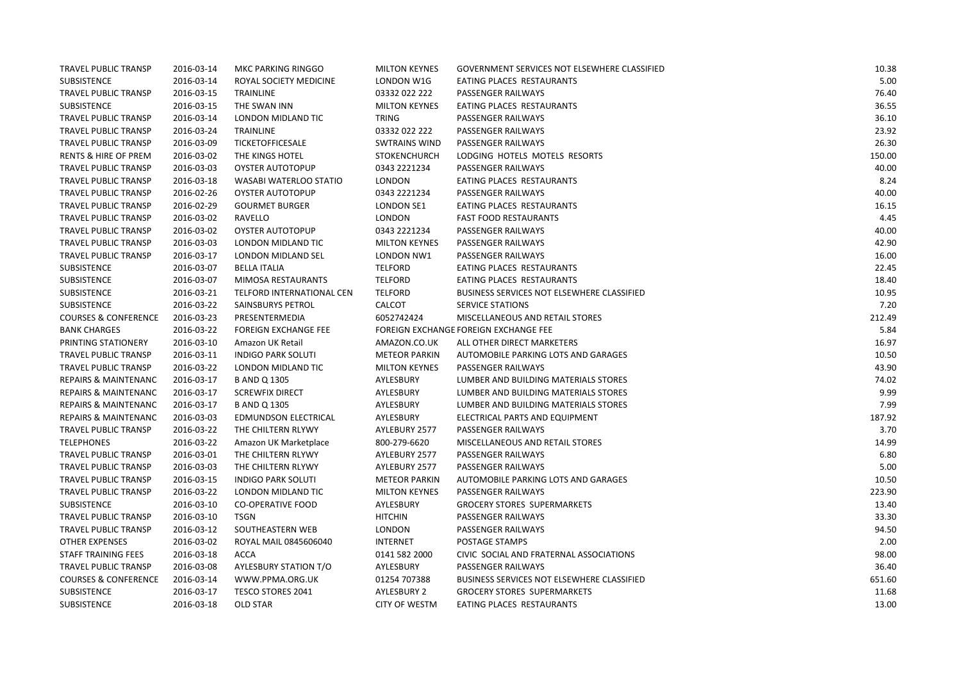| <b>TRAVEL PUBLIC TRANSP</b>     | 2016-03-14 | MKC PARKING RINGGO          | <b>MILTON KEYNES</b> | GOVERNMENT SERVICES NOT ELSEWHERE CLASSIFIED | 10.38  |
|---------------------------------|------------|-----------------------------|----------------------|----------------------------------------------|--------|
| SUBSISTENCE                     | 2016-03-14 | ROYAL SOCIETY MEDICINE      | LONDON W1G           | EATING PLACES RESTAURANTS                    | 5.00   |
| TRAVEL PUBLIC TRANSP            | 2016-03-15 | TRAINLINE                   | 03332 022 222        | PASSENGER RAILWAYS                           | 76.40  |
| SUBSISTENCE                     | 2016-03-15 | THE SWAN INN                | <b>MILTON KEYNES</b> | EATING PLACES RESTAURANTS                    | 36.55  |
| TRAVEL PUBLIC TRANSP            | 2016-03-14 | LONDON MIDLAND TIC          | <b>TRING</b>         | PASSENGER RAILWAYS                           | 36.10  |
| <b>TRAVEL PUBLIC TRANSP</b>     | 2016-03-24 | <b>TRAINLINE</b>            | 03332 022 222        | PASSENGER RAILWAYS                           | 23.92  |
| <b>TRAVEL PUBLIC TRANSP</b>     | 2016-03-09 | <b>TICKETOFFICESALE</b>     | <b>SWTRAINS WIND</b> | <b>PASSENGER RAILWAYS</b>                    | 26.30  |
| <b>RENTS &amp; HIRE OF PREM</b> | 2016-03-02 | THE KINGS HOTEL             | <b>STOKENCHURCH</b>  | LODGING HOTELS MOTELS RESORTS                | 150.00 |
| <b>TRAVEL PUBLIC TRANSP</b>     | 2016-03-03 | <b>OYSTER AUTOTOPUP</b>     | 0343 2221234         | PASSENGER RAILWAYS                           | 40.00  |
| <b>TRAVEL PUBLIC TRANSP</b>     | 2016-03-18 | WASABI WATERLOO STATIO      | <b>LONDON</b>        | EATING PLACES RESTAURANTS                    | 8.24   |
| <b>TRAVEL PUBLIC TRANSP</b>     | 2016-02-26 | <b>OYSTER AUTOTOPUP</b>     | 0343 2221234         | PASSENGER RAILWAYS                           | 40.00  |
| TRAVEL PUBLIC TRANSP            | 2016-02-29 | <b>GOURMET BURGER</b>       | <b>LONDON SE1</b>    | EATING PLACES RESTAURANTS                    | 16.15  |
| TRAVEL PUBLIC TRANSP            | 2016-03-02 | RAVELLO                     | <b>LONDON</b>        | <b>FAST FOOD RESTAURANTS</b>                 | 4.45   |
| TRAVEL PUBLIC TRANSP            | 2016-03-02 | <b>OYSTER AUTOTOPUP</b>     | 0343 2221234         | PASSENGER RAILWAYS                           | 40.00  |
| <b>TRAVEL PUBLIC TRANSP</b>     | 2016-03-03 | LONDON MIDLAND TIC          | <b>MILTON KEYNES</b> | PASSENGER RAILWAYS                           | 42.90  |
| <b>TRAVEL PUBLIC TRANSP</b>     | 2016-03-17 | LONDON MIDLAND SEL          | LONDON NW1           | PASSENGER RAILWAYS                           | 16.00  |
| SUBSISTENCE                     | 2016-03-07 | <b>BELLA ITALIA</b>         | <b>TELFORD</b>       | EATING PLACES RESTAURANTS                    | 22.45  |
| SUBSISTENCE                     | 2016-03-07 | MIMOSA RESTAURANTS          | <b>TELFORD</b>       | EATING PLACES RESTAURANTS                    | 18.40  |
| SUBSISTENCE                     | 2016-03-21 | TELFORD INTERNATIONAL CEN   | <b>TELFORD</b>       | BUSINESS SERVICES NOT ELSEWHERE CLASSIFIED   | 10.95  |
| SUBSISTENCE                     | 2016-03-22 | SAINSBURYS PETROL           | CALCOT               | SERVICE STATIONS                             | 7.20   |
| <b>COURSES &amp; CONFERENCE</b> | 2016-03-23 | PRESENTERMEDIA              | 6052742424           | MISCELLANEOUS AND RETAIL STORES              | 212.49 |
| <b>BANK CHARGES</b>             | 2016-03-22 | <b>FOREIGN EXCHANGE FEE</b> |                      | FOREIGN EXCHANGE FOREIGN EXCHANGE FEE        | 5.84   |
| PRINTING STATIONERY             | 2016-03-10 | Amazon UK Retail            | AMAZON.CO.UK         | ALL OTHER DIRECT MARKETERS                   | 16.97  |
| <b>TRAVEL PUBLIC TRANSP</b>     | 2016-03-11 | <b>INDIGO PARK SOLUTI</b>   | <b>METEOR PARKIN</b> | AUTOMOBILE PARKING LOTS AND GARAGES          | 10.50  |
| <b>TRAVEL PUBLIC TRANSP</b>     | 2016-03-22 | LONDON MIDLAND TIC          | <b>MILTON KEYNES</b> | PASSENGER RAILWAYS                           | 43.90  |
| <b>REPAIRS &amp; MAINTENANC</b> | 2016-03-17 | <b>B AND Q 1305</b>         | AYLESBURY            | LUMBER AND BUILDING MATERIALS STORES         | 74.02  |
| <b>REPAIRS &amp; MAINTENANC</b> | 2016-03-17 | <b>SCREWFIX DIRECT</b>      | AYLESBURY            | LUMBER AND BUILDING MATERIALS STORES         | 9.99   |
| <b>REPAIRS &amp; MAINTENANC</b> | 2016-03-17 | <b>B AND Q 1305</b>         | AYLESBURY            | LUMBER AND BUILDING MATERIALS STORES         | 7.99   |
| <b>REPAIRS &amp; MAINTENANC</b> | 2016-03-03 | <b>EDMUNDSON ELECTRICAL</b> | AYLESBURY            | ELECTRICAL PARTS AND EQUIPMENT               | 187.92 |
| TRAVEL PUBLIC TRANSP            | 2016-03-22 | THE CHILTERN RLYWY          | AYLEBURY 2577        | PASSENGER RAILWAYS                           | 3.70   |
| <b>TELEPHONES</b>               | 2016-03-22 | Amazon UK Marketplace       | 800-279-6620         | MISCELLANEOUS AND RETAIL STORES              | 14.99  |
| TRAVEL PUBLIC TRANSP            | 2016-03-01 | THE CHILTERN RLYWY          | AYLEBURY 2577        | <b>PASSENGER RAILWAYS</b>                    | 6.80   |
| <b>TRAVEL PUBLIC TRANSP</b>     | 2016-03-03 | THE CHILTERN RLYWY          | AYLEBURY 2577        | <b>PASSENGER RAILWAYS</b>                    | 5.00   |
| <b>TRAVEL PUBLIC TRANSP</b>     | 2016-03-15 | <b>INDIGO PARK SOLUTI</b>   | <b>METEOR PARKIN</b> | AUTOMOBILE PARKING LOTS AND GARAGES          | 10.50  |
| <b>TRAVEL PUBLIC TRANSP</b>     | 2016-03-22 | LONDON MIDLAND TIC          | <b>MILTON KEYNES</b> | PASSENGER RAILWAYS                           | 223.90 |
| SUBSISTENCE                     | 2016-03-10 | <b>CO-OPERATIVE FOOD</b>    | AYLESBURY            | <b>GROCERY STORES SUPERMARKETS</b>           | 13.40  |
| TRAVEL PUBLIC TRANSP            | 2016-03-10 | <b>TSGN</b>                 | <b>HITCHIN</b>       | PASSENGER RAILWAYS                           | 33.30  |
| <b>TRAVEL PUBLIC TRANSP</b>     | 2016-03-12 | SOUTHEASTERN WEB            | <b>LONDON</b>        | PASSENGER RAILWAYS                           | 94.50  |
| <b>OTHER EXPENSES</b>           | 2016-03-02 | ROYAL MAIL 0845606040       | <b>INTERNET</b>      | POSTAGE STAMPS                               | 2.00   |
| STAFF TRAINING FEES             | 2016-03-18 | ACCA                        | 0141 582 2000        | CIVIC SOCIAL AND FRATERNAL ASSOCIATIONS      | 98.00  |
| <b>TRAVEL PUBLIC TRANSP</b>     | 2016-03-08 | AYLESBURY STATION T/O       | AYLESBURY            | PASSENGER RAILWAYS                           | 36.40  |
| <b>COURSES &amp; CONFERENCE</b> | 2016-03-14 | WWW.PPMA.ORG.UK             | 01254 707388         | BUSINESS SERVICES NOT ELSEWHERE CLASSIFIED   | 651.60 |
| SUBSISTENCE                     | 2016-03-17 | TESCO STORES 2041           | <b>AYLESBURY 2</b>   | <b>GROCERY STORES SUPERMARKETS</b>           | 11.68  |
| SUBSISTENCE                     | 2016-03-18 | <b>OLD STAR</b>             | <b>CITY OF WESTM</b> | EATING PLACES RESTAURANTS                    | 13.00  |